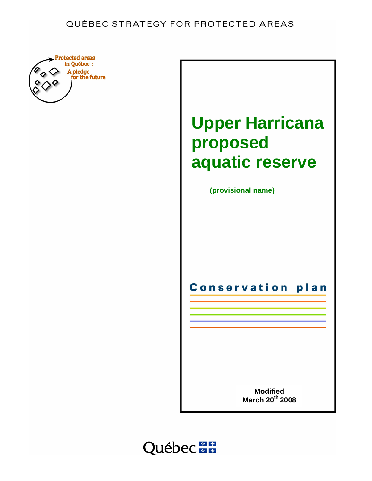# QUÉBEC STRATEGY FOR PROTECTED AREAS





**(provisional name)**

**Conservation** plan

> **Modified March 20th 2008**

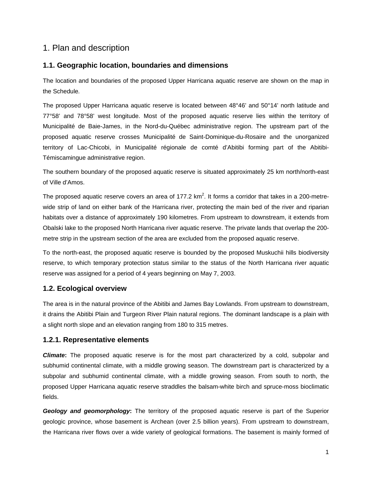## 1. Plan and description

## **1.1. Geographic location, boundaries and dimensions**

The location and boundaries of the proposed Upper Harricana aquatic reserve are shown on the map in the Schedule*.*

The proposed Upper Harricana aquatic reserve is located between 48°46' and 50°14' north latitude and 77°58' and 78°58' west longitude. Most of the proposed aquatic reserve lies within the territory of Municipalité de Baie-James, in the Nord-du-Québec administrative region. The upstream part of the proposed aquatic reserve crosses Municipalité de Saint-Dominique-du-Rosaire and the unorganized territory of Lac-Chicobi, in Municipalité régionale de comté d'Abitibi forming part of the Abitibi-Témiscamingue administrative region.

The southern boundary of the proposed aquatic reserve is situated approximately 25 km north/north-east of Ville d'Amos.

The proposed aquatic reserve covers an area of 177.2 km<sup>2</sup>. It forms a corridor that takes in a 200-metrewide strip of land on either bank of the Harricana river, protecting the main bed of the river and riparian habitats over a distance of approximately 190 kilometres. From upstream to downstream, it extends from Obalski lake to the proposed North Harricana river aquatic reserve. The private lands that overlap the 200 metre strip in the upstream section of the area are excluded from the proposed aquatic reserve.

To the north-east, the proposed aquatic reserve is bounded by the proposed Muskuchii hills biodiversity reserve, to which temporary protection status similar to the status of the North Harricana river aquatic reserve was assigned for a period of 4 years beginning on May 7, 2003.

## **1.2. Ecological overview**

The area is in the natural province of the Abitibi and James Bay Lowlands. From upstream to downstream, it drains the Abitibi Plain and Turgeon River Plain natural regions. The dominant landscape is a plain with a slight north slope and an elevation ranging from 180 to 315 metres.

## **1.2.1. Representative elements**

*Climate***:** The proposed aquatic reserve is for the most part characterized by a cold, subpolar and subhumid continental climate, with a middle growing season. The downstream part is characterized by a subpolar and subhumid continental climate, with a middle growing season. From south to north, the proposed Upper Harricana aquatic reserve straddles the balsam-white birch and spruce-moss bioclimatic fields.

*Geology and geomorphology***:** The territory of the proposed aquatic reserve is part of the Superior geologic province, whose basement is Archean (over 2.5 billion years). From upstream to downstream, the Harricana river flows over a wide variety of geological formations. The basement is mainly formed of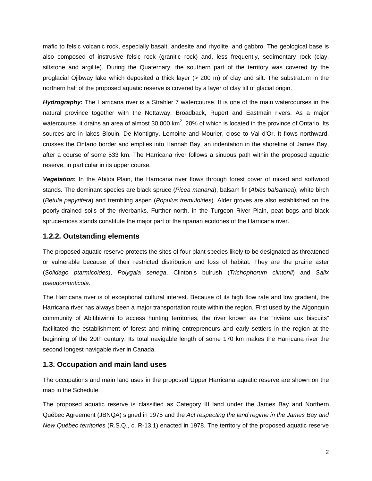mafic to felsic volcanic rock, especially basalt, andesite and rhyolite, and gabbro. The geological base is also composed of instrusive felsic rock (granitic rock) and, less frequently, sedimentary rock (clay, siltstone and argilite). During the Quaternary, the southern part of the territory was covered by the proglacial Ojibway lake which deposited a thick layer (> 200 m) of clay and silt. The substratum in the northern half of the proposed aquatic reserve is covered by a layer of clay till of glacial origin.

*Hydrography***:** The Harricana river is a Strahler 7 watercourse. It is one of the main watercourses in the natural province together with the Nottaway, Broadback, Rupert and Eastmain rivers. As a major watercourse, it drains an area of almost 30,000 km<sup>2</sup>, 20% of which is located in the province of Ontario. Its sources are in lakes Blouin, De Montigny, Lemoine and Mourier, close to Val d'Or. It flows northward, crosses the Ontario border and empties into Hannah Bay, an indentation in the shoreline of James Bay, after a course of some 533 km. The Harricana river follows a sinuous path within the proposed aquatic reserve, in particular in its upper course.

*Vegetation***:** In the Abitibi Plain, the Harricana river flows through forest cover of mixed and softwood stands. The dominant species are black spruce (*Picea mariana*), balsam fir (*Abies balsamea*), white birch (*Betula papyrifera*) and trembling aspen (*Populus tremuloides*). Alder groves are also established on the poorly-drained soils of the riverbanks. Further north, in the Turgeon River Plain, peat bogs and black spruce-moss stands constitute the major part of the riparian ecotones of the Harricana river.

#### **1.2.2. Outstanding elements**

The proposed aquatic reserve protects the sites of four plant species likely to be designated as threatened or vulnerable because of their restricted distribution and loss of habitat. They are the prairie aster (*Solidago ptarmicoides*), *Polygala senega*, Clinton's bulrush (*Trichophorum clintonii*) and *Salix pseudomonticola*.

The Harricana river is of exceptional cultural interest. Because of its high flow rate and low gradient, the Harricana river has always been a major transportation route within the region. First used by the Algonquin community of Abitibiwinni to access hunting territories, the river known as the "rivière aux biscuits" facilitated the establishment of forest and mining entrepreneurs and early settlers in the region at the beginning of the 20th century. Its total navigable length of some 170 km makes the Harricana river the second longest navigable river in Canada.

### **1.3. Occupation and main land uses**

The occupations and main land uses in the proposed Upper Harricana aquatic reserve are shown on the map in the Schedule.

The proposed aquatic reserve is classified as Category III land under the James Bay and Northern Québec Agreement (JBNQA) signed in 1975 and the *Act respecting the land regime in the James Bay and New Québec territories* (R.S.Q., c. R-13.1) enacted in 1978. The territory of the proposed aquatic reserve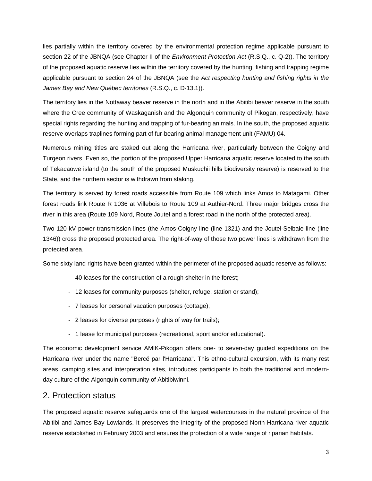lies partially within the territory covered by the environmental protection regime applicable pursuant to section 22 of the JBNQA (see Chapter II of the *Environment Protection Act* (R.S.Q., c. Q-2)). The territory of the proposed aquatic reserve lies within the territory covered by the hunting, fishing and trapping regime applicable pursuant to section 24 of the JBNQA (see the *Act respecting hunting and fishing rights in the James Bay and New Québec territories* (R.S.Q., c. D-13.1)).

The territory lies in the Nottaway beaver reserve in the north and in the Abitibi beaver reserve in the south where the Cree community of Waskaganish and the Algonquin community of Pikogan, respectively, have special rights regarding the hunting and trapping of fur-bearing animals. In the south, the proposed aquatic reserve overlaps traplines forming part of fur-bearing animal management unit (FAMU) 04.

Numerous mining titles are staked out along the Harricana river, particularly between the Coigny and Turgeon rivers. Even so, the portion of the proposed Upper Harricana aquatic reserve located to the south of Tekacaowe island (to the south of the proposed Muskuchii hills biodiversity reserve) is reserved to the State, and the northern sector is withdrawn from staking.

The territory is served by forest roads accessible from Route 109 which links Amos to Matagami. Other forest roads link Route R 1036 at Villebois to Route 109 at Authier-Nord. Three major bridges cross the river in this area (Route 109 Nord, Route Joutel and a forest road in the north of the protected area).

Two 120 kV power transmission lines (the Amos-Coigny line (line 1321) and the Joutel-Selbaie line (line 1346)) cross the proposed protected area. The right-of-way of those two power lines is withdrawn from the protected area.

Some sixty land rights have been granted within the perimeter of the proposed aquatic reserve as follows:

- 40 leases for the construction of a rough shelter in the forest;
- 12 leases for community purposes (shelter, refuge, station or stand);
- 7 leases for personal vacation purposes (cottage);
- 2 leases for diverse purposes (rights of way for trails);
- 1 lease for municipal purposes (recreational, sport and/or educational).

The economic development service AMIK-Pikogan offers one- to seven-day guided expeditions on the Harricana river under the name "Bercé par l'Harricana". This ethno-cultural excursion, with its many rest areas, camping sites and interpretation sites, introduces participants to both the traditional and modernday culture of the Algonquin community of Abitibiwinni.

## 2. Protection status

The proposed aquatic reserve safeguards one of the largest watercourses in the natural province of the Abitibi and James Bay Lowlands. It preserves the integrity of the proposed North Harricana river aquatic reserve established in February 2003 and ensures the protection of a wide range of riparian habitats.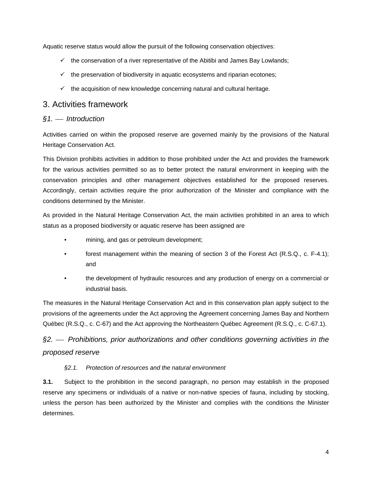Aquatic reserve status would allow the pursuit of the following conservation objectives:

- $\checkmark$  the conservation of a river representative of the Abitibi and James Bay Lowlands;
- $\checkmark$  the preservation of biodiversity in aquatic ecosystems and riparian ecotones;
- $\checkmark$  the acquisition of new knowledge concerning natural and cultural heritage.

## 3. Activities framework

### *§1.* ⎯ *Introduction*

Activities carried on within the proposed reserve are governed mainly by the provisions of the Natural Heritage Conservation Act.

This Division prohibits activities in addition to those prohibited under the Act and provides the framework for the various activities permitted so as to better protect the natural environment in keeping with the conservation principles and other management objectives established for the proposed reserves. Accordingly, certain activities require the prior authorization of the Minister and compliance with the conditions determined by the Minister.

As provided in the Natural Heritage Conservation Act, the main activities prohibited in an area to which status as a proposed biodiversity or aquatic reserve has been assigned are

- mining, and gas or petroleum development;
- forest management within the meaning of section 3 of the Forest Act (R.S.Q., c. F-4.1); and
- the development of hydraulic resources and any production of energy on a commercial or industrial basis.

The measures in the Natural Heritage Conservation Act and in this conservation plan apply subject to the provisions of the agreements under the Act approving the Agreement concerning James Bay and Northern Québec (R.S.Q., c. C-67) and the Act approving the Northeastern Québec Agreement (R.S.Q., c. C-67.1).

# *§2.* ⎯ *Prohibitions, prior authorizations and other conditions governing activities in the proposed reserve*

#### *§2.1. Protection of resources and the natural environment*

**3.1.** Subject to the prohibition in the second paragraph, no person may establish in the proposed reserve any specimens or individuals of a native or non-native species of fauna, including by stocking, unless the person has been authorized by the Minister and complies with the conditions the Minister determines.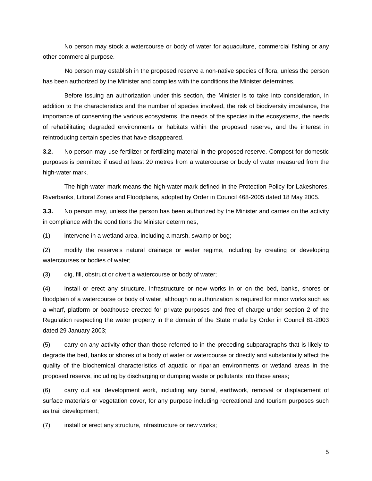No person may stock a watercourse or body of water for aquaculture, commercial fishing or any other commercial purpose.

 No person may establish in the proposed reserve a non-native species of flora, unless the person has been authorized by the Minister and complies with the conditions the Minister determines.

Before issuing an authorization under this section, the Minister is to take into consideration, in addition to the characteristics and the number of species involved, the risk of biodiversity imbalance, the importance of conserving the various ecosystems, the needs of the species in the ecosystems, the needs of rehabilitating degraded environments or habitats within the proposed reserve, and the interest in reintroducing certain species that have disappeared.

**3.2.** No person may use fertilizer or fertilizing material in the proposed reserve. Compost for domestic purposes is permitted if used at least 20 metres from a watercourse or body of water measured from the high-water mark.

The high-water mark means the high-water mark defined in the Protection Policy for Lakeshores, Riverbanks, Littoral Zones and Floodplains, adopted by Order in Council 468-2005 dated 18 May 2005.

**3.3.** No person may, unless the person has been authorized by the Minister and carries on the activity in compliance with the conditions the Minister determines,

 $(1)$  intervene in a wetland area, including a marsh, swamp or bog;

(2) modify the reserve's natural drainage or water regime, including by creating or developing watercourses or bodies of water;

(3) dig, fill, obstruct or divert a watercourse or body of water;

(4) install or erect any structure, infrastructure or new works in or on the bed, banks, shores or floodplain of a watercourse or body of water, although no authorization is required for minor works such as a wharf, platform or boathouse erected for private purposes and free of charge under section 2 of the Regulation respecting the water property in the domain of the State made by Order in Council 81-2003 dated 29 January 2003;

(5) carry on any activity other than those referred to in the preceding subparagraphs that is likely to degrade the bed, banks or shores of a body of water or watercourse or directly and substantially affect the quality of the biochemical characteristics of aquatic or riparian environments or wetland areas in the proposed reserve, including by discharging or dumping waste or pollutants into those areas;

(6) carry out soil development work, including any burial, earthwork, removal or displacement of surface materials or vegetation cover, for any purpose including recreational and tourism purposes such as trail development;

(7) install or erect any structure, infrastructure or new works;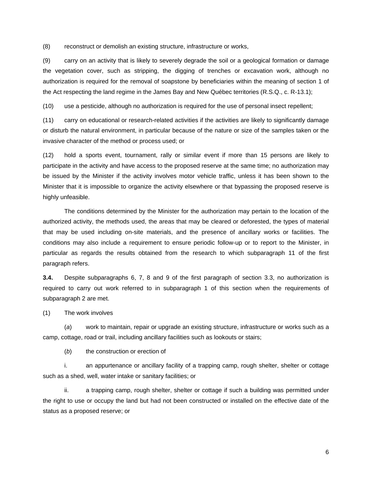(8) reconstruct or demolish an existing structure, infrastructure or works,

(9) carry on an activity that is likely to severely degrade the soil or a geological formation or damage the vegetation cover, such as stripping, the digging of trenches or excavation work, although no authorization is required for the removal of soapstone by beneficiaries within the meaning of section 1 of the Act respecting the land regime in the James Bay and New Québec territories (R.S.Q., c. R-13.1);

(10) use a pesticide, although no authorization is required for the use of personal insect repellent;

(11) carry on educational or research-related activities if the activities are likely to significantly damage or disturb the natural environment, in particular because of the nature or size of the samples taken or the invasive character of the method or process used; or

(12) hold a sports event, tournament, rally or similar event if more than 15 persons are likely to participate in the activity and have access to the proposed reserve at the same time; no authorization may be issued by the Minister if the activity involves motor vehicle traffic, unless it has been shown to the Minister that it is impossible to organize the activity elsewhere or that bypassing the proposed reserve is highly unfeasible.

The conditions determined by the Minister for the authorization may pertain to the location of the authorized activity, the methods used, the areas that may be cleared or deforested, the types of material that may be used including on-site materials, and the presence of ancillary works or facilities. The conditions may also include a requirement to ensure periodic follow-up or to report to the Minister, in particular as regards the results obtained from the research to which subparagraph 11 of the first paragraph refers.

**3.4.** Despite subparagraphs 6, 7, 8 and 9 of the first paragraph of section 3.3, no authorization is required to carry out work referred to in subparagraph 1 of this section when the requirements of subparagraph 2 are met.

(1) The work involves

(*a*) work to maintain, repair or upgrade an existing structure, infrastructure or works such as a camp, cottage, road or trail, including ancillary facilities such as lookouts or stairs;

(*b*) the construction or erection of

i. an appurtenance or ancillary facility of a trapping camp, rough shelter, shelter or cottage such as a shed, well, water intake or sanitary facilities; or

ii. a trapping camp, rough shelter, shelter or cottage if such a building was permitted under the right to use or occupy the land but had not been constructed or installed on the effective date of the status as a proposed reserve; or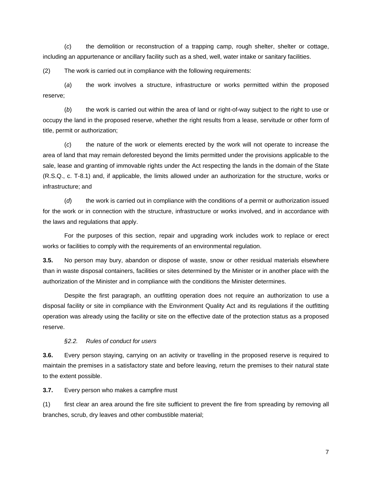(*c*) the demolition or reconstruction of a trapping camp, rough shelter, shelter or cottage, including an appurtenance or ancillary facility such as a shed, well, water intake or sanitary facilities.

(2) The work is carried out in compliance with the following requirements:

(*a*) the work involves a structure, infrastructure or works permitted within the proposed reserve;

(*b*) the work is carried out within the area of land or right-of-way subject to the right to use or occupy the land in the proposed reserve, whether the right results from a lease, servitude or other form of title, permit or authorization;

(*c*) the nature of the work or elements erected by the work will not operate to increase the area of land that may remain deforested beyond the limits permitted under the provisions applicable to the sale, lease and granting of immovable rights under the Act respecting the lands in the domain of the State (R.S.Q., c. T-8.1) and, if applicable, the limits allowed under an authorization for the structure, works or infrastructure; and

(*d*) the work is carried out in compliance with the conditions of a permit or authorization issued for the work or in connection with the structure, infrastructure or works involved, and in accordance with the laws and regulations that apply.

For the purposes of this section, repair and upgrading work includes work to replace or erect works or facilities to comply with the requirements of an environmental regulation.

**3.5.** No person may bury, abandon or dispose of waste, snow or other residual materials elsewhere than in waste disposal containers, facilities or sites determined by the Minister or in another place with the authorization of the Minister and in compliance with the conditions the Minister determines.

Despite the first paragraph, an outfitting operation does not require an authorization to use a disposal facility or site in compliance with the Environment Quality Act and its regulations if the outfitting operation was already using the facility or site on the effective date of the protection status as a proposed reserve.

#### *§2.2. Rules of conduct for users*

**3.6.** Every person staying, carrying on an activity or travelling in the proposed reserve is required to maintain the premises in a satisfactory state and before leaving, return the premises to their natural state to the extent possible.

**3.7.** Every person who makes a campfire must

(1) first clear an area around the fire site sufficient to prevent the fire from spreading by removing all branches, scrub, dry leaves and other combustible material;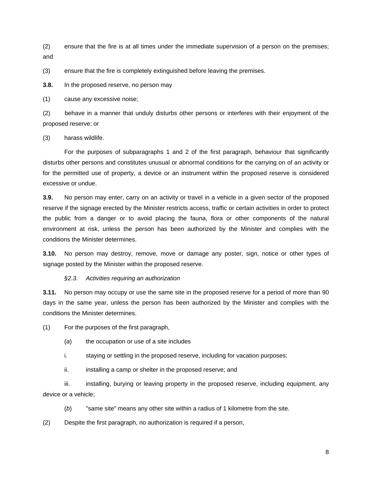(2) ensure that the fire is at all times under the immediate supervision of a person on the premises; and

(3) ensure that the fire is completely extinguished before leaving the premises.

**3.8.** In the proposed reserve, no person may

(1) cause any excessive noise;

(2) behave in a manner that unduly disturbs other persons or interferes with their enjoyment of the proposed reserve; or

(3) harass wildlife.

For the purposes of subparagraphs 1 and 2 of the first paragraph, behaviour that significantly disturbs other persons and constitutes unusual or abnormal conditions for the carrying on of an activity or for the permitted use of property, a device or an instrument within the proposed reserve is considered excessive or undue.

**3.9.** No person may enter, carry on an activity or travel in a vehicle in a given sector of the proposed reserve if the signage erected by the Minister restricts access, traffic or certain activities in order to protect the public from a danger or to avoid placing the fauna, flora or other components of the natural environment at risk, unless the person has been authorized by the Minister and complies with the conditions the Minister determines.

**3.10.** No person may destroy, remove, move or damage any poster, sign, notice or other types of signage posted by the Minister within the proposed reserve.

#### *§2.3. Activities requiring an authorization*

**3.11.** No person may occupy or use the same site in the proposed reserve for a period of more than 90 days in the same year, unless the person has been authorized by the Minister and complies with the conditions the Minister determines.

(1) For the purposes of the first paragraph,

- (*a*) the occupation or use of a site includes
- i. staying or settling in the proposed reserve, including for vacation purposes;
- ii. installing a camp or shelter in the proposed reserve; and

iii. installing, burying or leaving property in the proposed reserve, including equipment, any device or a vehicle;

(*b*) "same site" means any other site within a radius of 1 kilometre from the site.

(2) Despite the first paragraph, no authorization is required if a person,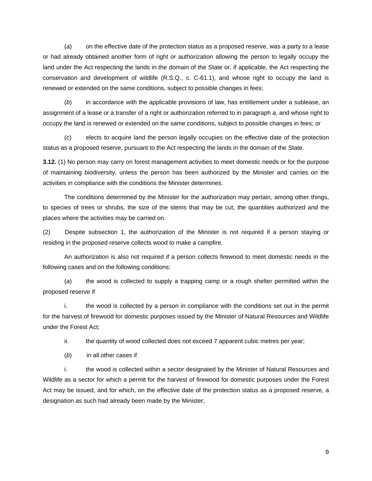(*a*) on the effective date of the protection status as a proposed reserve, was a party to a lease or had already obtained another form of right or authorization allowing the person to legally occupy the land under the Act respecting the lands in the domain of the State or, if applicable, the Act respecting the conservation and development of wildlife (R.S.Q., c. C-61.1), and whose right to occupy the land is renewed or extended on the same conditions, subject to possible changes in fees;

(*b*) in accordance with the applicable provisions of law, has entitlement under a sublease, an assignment of a lease or a transfer of a right or authorization referred to in paragraph *a*, and whose right to occupy the land is renewed or extended on the same conditions, subject to possible changes in fees; or

(*c*) elects to acquire land the person legally occupies on the effective date of the protection status as a proposed reserve, pursuant to the Act respecting the lands in the domain of the State.

**3.12.** (1) No person may carry on forest management activities to meet domestic needs or for the purpose of maintaining biodiversity, unless the person has been authorized by the Minister and carries on the activities in compliance with the conditions the Minister determines.

The conditions determined by the Minister for the authorization may pertain, among other things, to species of trees or shrubs, the size of the stems that may be cut, the quantities authorized and the places where the activities may be carried on.

(2) Despite subsection 1, the authorization of the Minister is not required if a person staying or residing in the proposed reserve collects wood to make a campfire.

 An authorization is also not required if a person collects firewood to meet domestic needs in the following cases and on the following conditions:

(*a*) the wood is collected to supply a trapping camp or a rough shelter permitted within the proposed reserve if

i. the wood is collected by a person in compliance with the conditions set out in the permit for the harvest of firewood for domestic purposes issued by the Minister of Natural Resources and Wildlife under the Forest Act;

ii. the quantity of wood collected does not exceed 7 apparent cubic metres per year;

(*b*) in all other cases if

i. the wood is collected within a sector designated by the Minister of Natural Resources and Wildlife as a sector for which a permit for the harvest of firewood for domestic purposes under the Forest Act may be issued, and for which, on the effective date of the protection status as a proposed reserve, a designation as such had already been made by the Minister;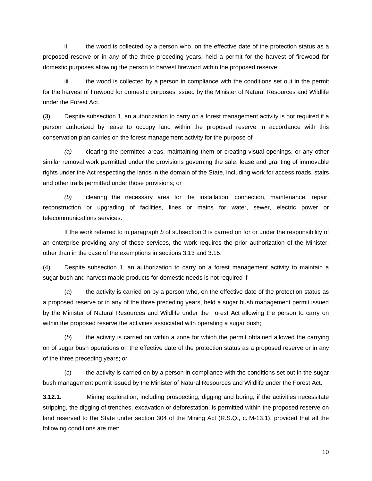ii. the wood is collected by a person who, on the effective date of the protection status as a proposed reserve or in any of the three preceding years, held a permit for the harvest of firewood for domestic purposes allowing the person to harvest firewood within the proposed reserve;

 iii. the wood is collected by a person in compliance with the conditions set out in the permit for the harvest of firewood for domestic purposes issued by the Minister of Natural Resources and Wildlife under the Forest Act*.* 

(3) Despite subsection 1, an authorization to carry on a forest management activity is not required if a person authorized by lease to occupy land within the proposed reserve in accordance with this conservation plan carries on the forest management activity for the purpose of

*(a)* clearing the permitted areas, maintaining them or creating visual openings, or any other similar removal work permitted under the provisions governing the sale, lease and granting of immovable rights under the Act respecting the lands in the domain of the State, including work for access roads, stairs and other trails permitted under those provisions; or

*(b)* clearing the necessary area for the installation, connection, maintenance, repair, reconstruction or upgrading of facilities, lines or mains for water, sewer, electric power or telecommunications services.

If the work referred to in paragraph *b* of subsection 3 is carried on for or under the responsibility of an enterprise providing any of those services, the work requires the prior authorization of the Minister, other than in the case of the exemptions in sections 3.13 and 3.15.

(4) Despite subsection 1, an authorization to carry on a forest management activity to maintain a sugar bush and harvest maple products for domestic needs is not required if

(*a*) the activity is carried on by a person who, on the effective date of the protection status as a proposed reserve or in any of the three preceding years, held a sugar bush management permit issued by the Minister of Natural Resources and Wildlife under the Forest Act allowing the person to carry on within the proposed reserve the activities associated with operating a sugar bush;

(*b*) the activity is carried on within a zone for which the permit obtained allowed the carrying on of sugar bush operations on the effective date of the protection status as a proposed reserve or in any of the three preceding years; or

(*c*) the activity is carried on by a person in compliance with the conditions set out in the sugar bush management permit issued by the Minister of Natural Resources and Wildlife under the Forest Act.

**3.12.1.** Mining exploration, including prospecting, digging and boring, if the activities necessitate stripping, the digging of trenches, excavation or deforestation, is permitted within the proposed reserve on land reserved to the State under section 304 of the Mining Act (R.S.Q., c. M-13.1), provided that all the following conditions are met: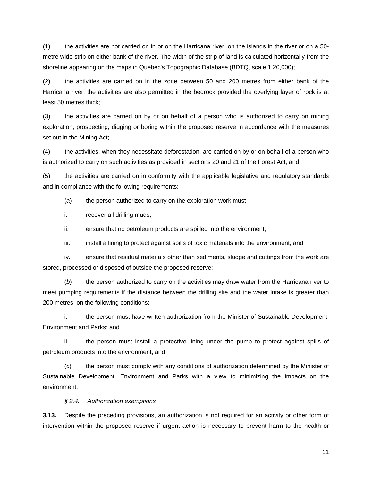(1) the activities are not carried on in or on the Harricana river, on the islands in the river or on a 50 metre wide strip on either bank of the river. The width of the strip of land is calculated horizontally from the shoreline appearing on the maps in Québec's Topographic Database (BDTQ, scale 1:20,000);

(2) the activities are carried on in the zone between 50 and 200 metres from either bank of the Harricana river; the activities are also permitted in the bedrock provided the overlying layer of rock is at least 50 metres thick;

(3) the activities are carried on by or on behalf of a person who is authorized to carry on mining exploration, prospecting, digging or boring within the proposed reserve in accordance with the measures set out in the Mining Act;

(4) the activities, when they necessitate deforestation, are carried on by or on behalf of a person who is authorized to carry on such activities as provided in sections 20 and 21 of the Forest Act; and

(5) the activities are carried on in conformity with the applicable legislative and regulatory standards and in compliance with the following requirements:

(*a*) the person authorized to carry on the exploration work must

i. recover all drilling muds;

ii. ensure that no petroleum products are spilled into the environment;

iii. install a lining to protect against spills of toxic materials into the environment; and

iv. ensure that residual materials other than sediments, sludge and cuttings from the work are stored, processed or disposed of outside the proposed reserve;

(*b*) the person authorized to carry on the activities may draw water from the Harricana river to meet pumping requirements if the distance between the drilling site and the water intake is greater than 200 metres, on the following conditions:

i. the person must have written authorization from the Minister of Sustainable Development, Environment and Parks; and

ii. the person must install a protective lining under the pump to protect against spills of petroleum products into the environment; and

(*c*) the person must comply with any conditions of authorization determined by the Minister of Sustainable Development, Environment and Parks with a view to minimizing the impacts on the environment.

*§ 2.4. Authorization exemptions* 

**3.13.** Despite the preceding provisions, an authorization is not required for an activity or other form of intervention within the proposed reserve if urgent action is necessary to prevent harm to the health or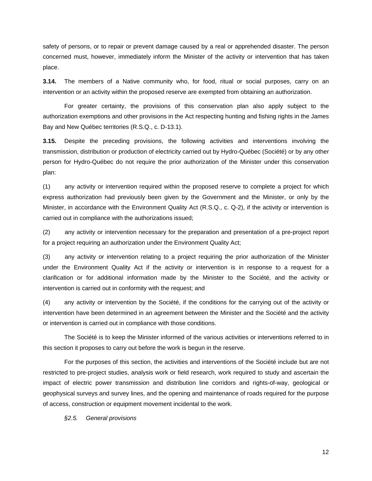safety of persons, or to repair or prevent damage caused by a real or apprehended disaster. The person concerned must, however, immediately inform the Minister of the activity or intervention that has taken place.

**3.14.** The members of a Native community who, for food, ritual or social purposes, carry on an intervention or an activity within the proposed reserve are exempted from obtaining an authorization.

For greater certainty, the provisions of this conservation plan also apply subject to the authorization exemptions and other provisions in the Act respecting hunting and fishing rights in the James Bay and New Québec territories (R.S.Q., c. D-13.1).

**3.15.** Despite the preceding provisions, the following activities and interventions involving the transmission, distribution or production of electricity carried out by Hydro-Québec (Société) or by any other person for Hydro-Québec do not require the prior authorization of the Minister under this conservation plan:

(1) any activity or intervention required within the proposed reserve to complete a project for which express authorization had previously been given by the Government and the Minister, or only by the Minister, in accordance with the Environment Quality Act (R.S.Q., c. Q-2), if the activity or intervention is carried out in compliance with the authorizations issued;

(2) any activity or intervention necessary for the preparation and presentation of a pre-project report for a project requiring an authorization under the Environment Quality Act;

(3) any activity or intervention relating to a project requiring the prior authorization of the Minister under the Environment Quality Act if the activity or intervention is in response to a request for a clarification or for additional information made by the Minister to the Société, and the activity or intervention is carried out in conformity with the request; and

(4) any activity or intervention by the Société, if the conditions for the carrying out of the activity or intervention have been determined in an agreement between the Minister and the Société and the activity or intervention is carried out in compliance with those conditions.

The Société is to keep the Minister informed of the various activities or interventions referred to in this section it proposes to carry out before the work is begun in the reserve.

For the purposes of this section, the activities and interventions of the Société include but are not restricted to pre-project studies, analysis work or field research, work required to study and ascertain the impact of electric power transmission and distribution line corridors and rights-of-way, geological or geophysical surveys and survey lines, and the opening and maintenance of roads required for the purpose of access, construction or equipment movement incidental to the work.

*§2.5. General provisions*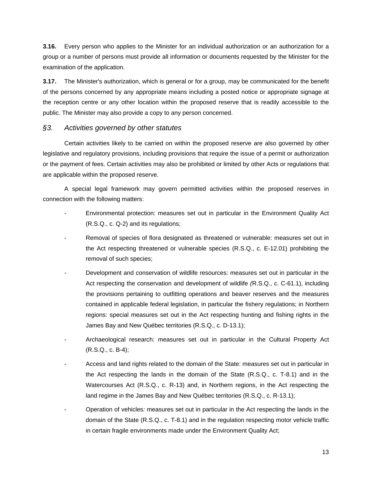**3.16.** Every person who applies to the Minister for an individual authorization or an authorization for a group or a number of persons must provide all information or documents requested by the Minister for the examination of the application.

**3.17.** The Minister's authorization, which is general or for a group, may be communicated for the benefit of the persons concerned by any appropriate means including a posted notice or appropriate signage at the reception centre or any other location within the proposed reserve that is readily accessible to the public. The Minister may also provide a copy to any person concerned.

### *§3. Activities governed by other statutes*

Certain activities likely to be carried on within the proposed reserve are also governed by other legislative and regulatory provisions, including provisions that require the issue of a permit or authorization or the payment of fees. Certain activities may also be prohibited or limited by other Acts or regulations that are applicable within the proposed reserve.

A special legal framework may govern permitted activities within the proposed reserves in connection with the following matters:

- Environmental protection: measures set out in particular in the Environment Quality Act (R.S.Q., c. Q-2) and its regulations;
- *-* Removal of species of flora designated as threatened or vulnerable: measures set out in the Act respecting threatened or vulnerable species (R.S.Q., c. E-12.01) prohibiting the removal of such species;
- *-* Development and conservation of wildlife resources: measures set out in particular in the Act respecting the conservation and development of wildlife *(*R.S.Q., c. C-61.1), including the provisions pertaining to outfitting operations and beaver reserves and the measures contained in applicable federal legislation, in particular the fishery regulations; in Northern regions: special measures set out in the Act respecting hunting and fishing rights in the James Bay and New Québec territories (R.S.Q., c. D-13.1);
- Archaeological research: measures set out in particular in the Cultural Property Act (R.S.Q., c. B-4);
- *-* Access and land rights related to the domain of the State: measures set out in particular in the Act respecting the lands in the domain of the State (R.S.Q., c. T-8.1) and in the Watercourses Act (R.S.Q., c. R-13) and, in Northern regions, in the Act respecting the land regime in the James Bay and New Québec territories (R.S.Q., c. R-13.1);
- Operation of vehicles*:* measures set out in particular in the Act respecting the lands in the domain of the State (R.S.Q., c. T-8.1) and in the regulation respecting motor vehicle traffic in certain fragile environments made under the Environment Quality Act;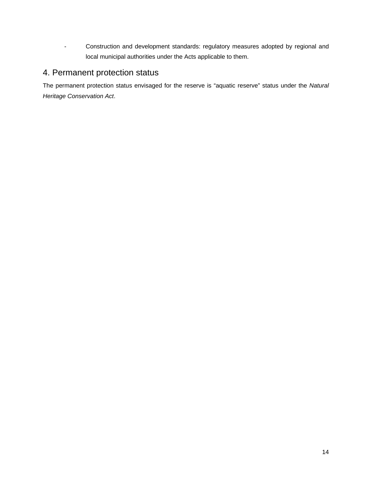- Construction and development standards: regulatory measures adopted by regional and local municipal authorities under the Acts applicable to them.

# 4. Permanent protection status

The permanent protection status envisaged for the reserve is "aquatic reserve" status under the *Natural Heritage Conservation Act*.